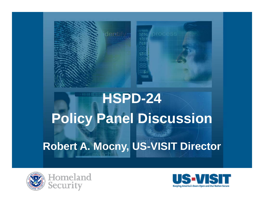

# **HSPD-24 P li P l Di i Policy Panel Discussion**

### **Robert A. Mocny, US-VISIT Director**





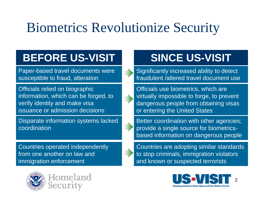## Biometrics Revolutionize Security

### **BEFORE US-VISIT**

Paper-based travel documents were susceptible to fraud, alteration

Officials relied on biographic information, which can be forged, to verify identity and make visa issuance or admission decisions

Disparate information systems lacked coordination

Countries operated independently from one another on law and immigration enforcement



Homeland Security

### **SINCE US-VISIT**

Significantly increased ability to detect fraudulent /altered travel document use

s relied on biographic **Souting the Control Control Control** Officials use biometrics, which are virtually impossible to forge, to prevent dangerous people from obtaining visas or entering the United States

> Better coordination with other agencies; provide a single source for biometricsbased information on dangerous people

Countries are adopting similar standards to stop criminals, immigration violators and known or suspected terrorists

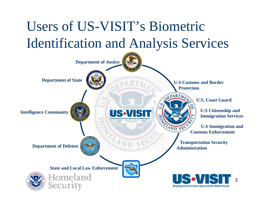## Users of US-VISIT's Biometric Identification and Analysis Services

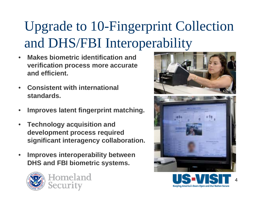## Upgrade to 10-Fingerprint Collection and DHS/FBI Interoperabilit y

- $\bullet$  **Makes biometric identification and verifi ti t ification process more accura te and efficient.**
- • **Consistent with international standards.**
- •**Improves latent fingerprint matching.**
- $\bullet$  **Technology acquisition and development process required significant interagency collaboration collaboration.**
- $\bullet$  **Improves interoperability between DHS and FBI biometric s ystems.**





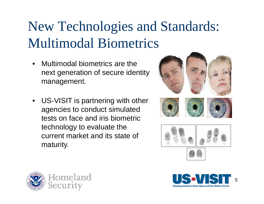## New Technologies and Standards: Multimodal Biometrics

- • Multimodal biometrics are the next generation of secure identity management.
- US-VISIT is partnering with other agencies to conduct simulated tests on face and iris biometric technology to evaluate the current market and its state of maturity.





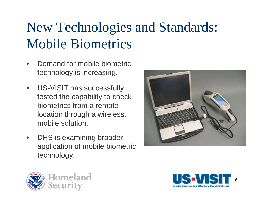## New Technologies and Standards: Mobile Biometrics

- • Demand for mobile biometric technology is increasing.
- • $\bullet$  US-VISIT has successfully tested the capability to check biometrics from a remote location through a wireless, mobile solution.
- $\bullet$  DHS is examinin g broader application of mobile biometric technology.





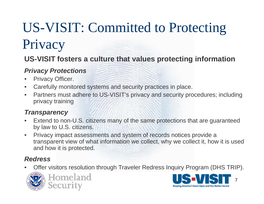### US-VISIT: Committed to Protecting Privac y

### **US-VISIT fosters a culture that values protecting information**

### *Privacy Protections*

- •Privacy Officer.
- •• Carefully monitored systems and security practices in place.
- $\bullet$  Partners must adhere to US-VISIT's privacy and security procedures; including privacy training

#### $T$ *ransparency*

- $\bullet$  Extend to non-U.S. citizens many of the same protections that are guaranteed by law to U.S. citizens.
- • Privacy impact assessments and system of records notices provide a transparent view of what information we collect, why we collect it, how it is used and how it is protected.

#### *Redress*

• Offer visitors resolution through Traveler Redress Inquiry Program (DHS TRIP). •





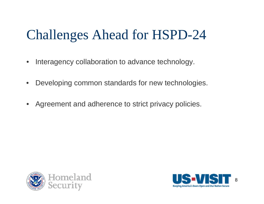### Challenges Ahead for HSPD-24

- •Interagency collaboration to advance technology.
- $\bullet$ Developing common standards for new technologies.
- $\bullet$ Agreement and adherence to strict privacy policies.